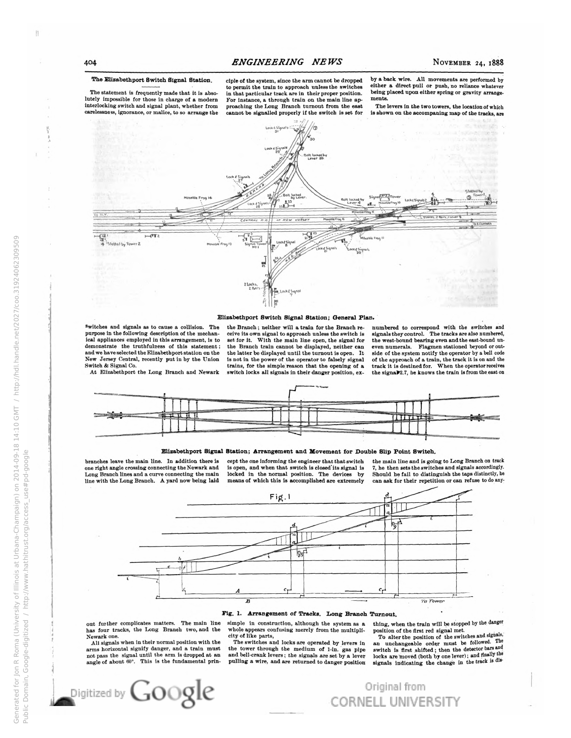Ħ

Generated for Jon R Roma (University of Illinois at Urbana-Champaign) on 2014-09-18 14:10 GMT / http://hdl.handle.net/2027/coo.31924062309509

Public Domain, Google-digitized / http://www.hathitrust.org/access\_use#pd-google

## The Elizabethport Switch Signal Station.

The statement is frequently made that it is absolutely impossible for those in charge of a modern<br>interlocking switch and signal plant, whether from carelessness, ignorance, or malice, to so arrange the

ciple of the system, since the arm cannot be dropped to permit the train to approach unless the switches<br>in that particular track are in their proper position. For instance, a through train on the main line approaching the Long Branch turnout from the east cannot be signalled properly if the switch is set for by a back wire. All movements are performed by either a direct pull or push, no reliance whatever being placed upon either spring or gravity arrange ments.

The levers in the two towers, the location of which is shown on the accompaning map of the tracks, are



### Elizabethport Switch Signal Station; General Plan.

<sup>S</sup>witches and signals as to cause a collision. The purpose in the following description of the mechanical appliances employed in this arrangement, is to demonstrate the truthfulness of this statement;<br>and we have selected the Elizabethport station on the New Jersey Central, recently put in by the Union Switch & Signal Co.

At Elizabethport the Long Branch and Newark

the Branch; neither will a train for the Branch receive its own signal to approach unless the switch is<br>set for it. With the main line open, the signal for the Branch train cannot be displayed, neither can the latter be displayed until the turnout is open. It is not in the power of the operator to falsely signal trains, for the simple reason that the opening of a switch locks all signals in their danger position, ex-

numbered to correspond with the switches and signals they control. The tracks are also numbered, the west-bound bearing even and the east-bound uneven numerals. Flagmen stationed beyond or outside of the system notify the operator by a bell code<br>of the approach of a train, the track it is on and the track it is destined for. When the operator receives the signal<sup>2</sup>.7, he knows the train is from the east on



#### Elizabethport Signal Station; Arrangement and Movement for Double Slip Point Switch.

branches leave the main line. In addition there is one right angle crossing connecting the Newark and Long Branch lines and a curve connecting the main line with the Long Branch. A yard now being laid cept the one informing the engineer that that switch is open, and when that switch is closed its signal is locked in the normal position. The devices by means of which this is accomplished are extremely

the main line and is going to Long Branch on track 7, he then sets the switches and signals accordingly. Should he fail to distinguish the taps distinctly, he can ask for their repetition or can refuse to do any-



#### Fig. 1. Arrangement of Tracks. Long Branch Turnout.

out further complicates matters. The main line has four tracks, the Long Branch two, and the Newark one.

All signals when in their normal position with the arms horizontal signify danger, and a train must not pass the signal until the arm is dropped at an angle of about 60°. This is the fundamental prinsimple in construction, although the system as a whole appears confusing merely from the multiplicity of like parts,<br>The switches and locks are operated by levers in

the tower through the medium of 1-in. gas pipe and bell-crank levers; the signals are set by a lever pulling a wire, and are returned to danger position thing, when the train will be stopped by the danger position of the first red signal met. To alter the position of the switches and signals,

an unchangeable order must be followed. The locks are moved (both by one lever); and finally the signals indicating the change in the track is dis-

Original from **CORNELL UNIVERSITY**